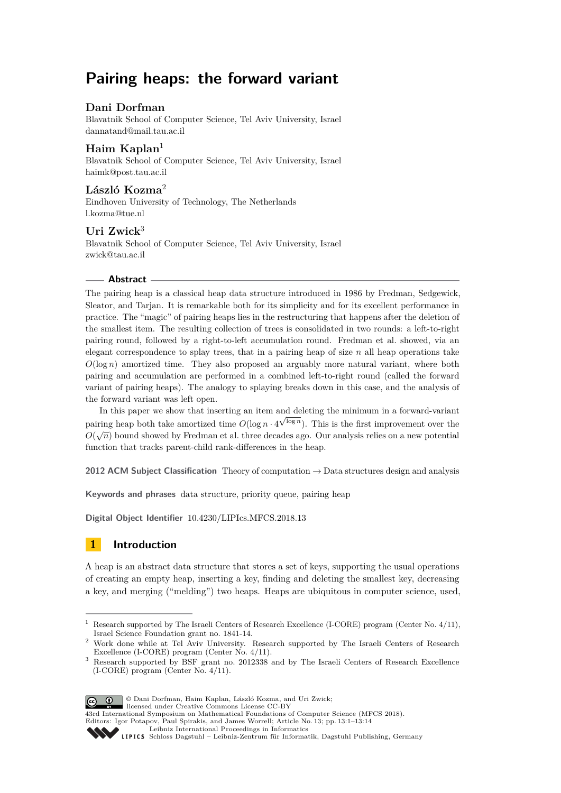# **Pairing heaps: the forward variant**

# **Dani Dorfman**

Blavatnik School of Computer Science, Tel Aviv University, Israel [dannatand@mail.tau.ac.il](mailto:dannatand@mail.tau.ac.il)

## **Haim Kaplan**<sup>1</sup>

Blavatnik School of Computer Science, Tel Aviv University, Israel [haimk@post.tau.ac.il](mailto:haimk@post.tau.ac.il)

## **László Kozma**<sup>2</sup>

Eindhoven University of Technology, The Netherlands [l.kozma@tue.nl](mailto:l.kozma@tue.nl)

# **Uri Zwick**<sup>3</sup>

Blavatnik School of Computer Science, Tel Aviv University, Israel [zwick@tau.ac.il](mailto:zwick@tau.ac.il)

## **Abstract**

The pairing heap is a classical heap data structure introduced in 1986 by Fredman, Sedgewick, Sleator, and Tarjan. It is remarkable both for its simplicity and for its excellent performance in practice. The "magic" of pairing heaps lies in the restructuring that happens after the deletion of the smallest item. The resulting collection of trees is consolidated in two rounds: a left-to-right pairing round, followed by a right-to-left accumulation round. Fredman et al. showed, via an elegant correspondence to splay trees, that in a pairing heap of size *n* all heap operations take  $O(\log n)$  amortized time. They also proposed an arguably more natural variant, where both pairing and accumulation are performed in a combined left-to-right round (called the forward variant of pairing heaps). The analogy to splaying breaks down in this case, and the analysis of the forward variant was left open.

In this paper we show that inserting an item and deleting the minimum in a forward-variant pairing heap both take amortized time  $O(\log n \cdot 4^{\sqrt{\log n}})$ . This is the first improvement over the  $O(\sqrt{n})$  bound showed by Fredman et al. three decades ago. Our analysis relies on a new potential function that tracks parent-child rank-differences in the heap.

**2012 ACM Subject Classification** Theory of computation → Data structures design and analysis

**Keywords and phrases** data structure, priority queue, pairing heap

**Digital Object Identifier** [10.4230/LIPIcs.MFCS.2018.13](http://dx.doi.org/10.4230/LIPIcs.MFCS.2018.13)

# **1 Introduction**

A heap is an abstract data structure that stores a set of keys, supporting the usual operations of creating an empty heap, inserting a key, finding and deleting the smallest key, decreasing a key, and merging ("melding") two heaps. Heaps are ubiquitous in computer science, used,

<sup>&</sup>lt;sup>3</sup> Research supported by BSF grant no. 2012338 and by The Israeli Centers of Research Excellence (I-CORE) program (Center No. 4/11).



43rd International Symposium on Mathematical Foundations of Computer Science (MFCS 2018).

Editors: Igor Potapov, Paul Spirakis, and James Worrell; Article No. 13; pp. 13:1–13[:14](#page-13-0)

Research supported by The Israeli Centers of Research Excellence (I-CORE) program (Center No. 4/11), Israel Science Foundation grant no. 1841-14.

<sup>2</sup> Work done while at Tel Aviv University. Research supported by The Israeli Centers of Research Excellence (I-CORE) program (Center No. 4/11).

[Leibniz International Proceedings in Informatics](http://www.dagstuhl.de/lipics/)

SCHLOSS Dagstuhl – Leibniz-Zentrum für Informatik, Dagstuhl Publishing, Germany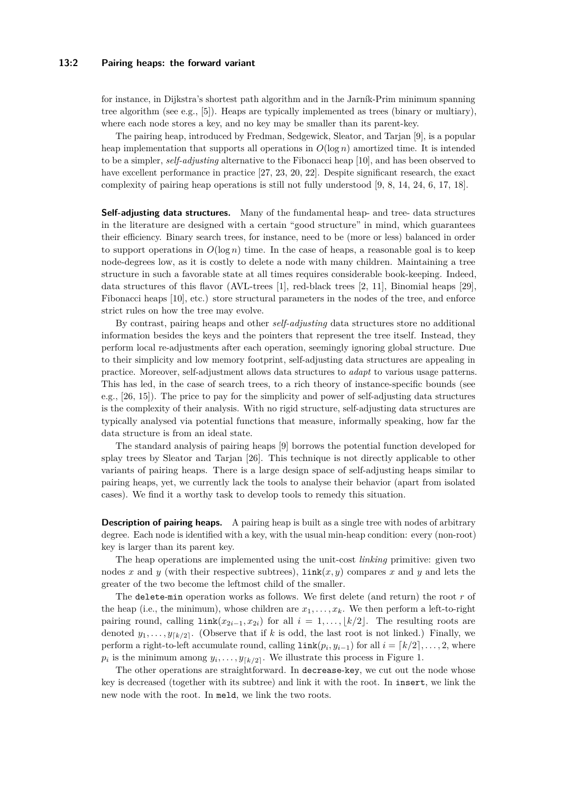#### **13:2 Pairing heaps: the forward variant**

for instance, in Dijkstra's shortest path algorithm and in the Jarník-Prim minimum spanning tree algorithm (see e.g., [\[5\]](#page-12-0)). Heaps are typically implemented as trees (binary or multiary), where each node stores a key, and no key may be smaller than its parent-key.

The pairing heap, introduced by Fredman, Sedgewick, Sleator, and Tarjan [\[9\]](#page-12-1), is a popular heap implementation that supports all operations in  $O(\log n)$  amortized time. It is intended to be a simpler, *self-adjusting* alternative to the Fibonacci heap [\[10\]](#page-12-2), and has been observed to have excellent performance in practice [\[27,](#page-13-1) [23,](#page-13-2) [20,](#page-13-3) [22\]](#page-13-4). Despite significant research, the exact complexity of pairing heap operations is still not fully understood [\[9,](#page-12-1) [8,](#page-12-3) [14,](#page-13-5) [24,](#page-13-6) [6,](#page-12-4) [17,](#page-13-7) [18\]](#page-13-8).

**Self-adjusting data structures.** Many of the fundamental heap- and tree- data structures in the literature are designed with a certain "good structure" in mind, which guarantees their efficiency. Binary search trees, for instance, need to be (more or less) balanced in order to support operations in  $O(\log n)$  time. In the case of heaps, a reasonable goal is to keep node-degrees low, as it is costly to delete a node with many children. Maintaining a tree structure in such a favorable state at all times requires considerable book-keeping. Indeed, data structures of this flavor (AVL-trees [\[1\]](#page-12-5), red-black trees [\[2,](#page-12-6) [11\]](#page-12-7), Binomial heaps [\[29\]](#page-13-9), Fibonacci heaps [\[10\]](#page-12-2), etc.) store structural parameters in the nodes of the tree, and enforce strict rules on how the tree may evolve.

By contrast, pairing heaps and other *self-adjusting* data structures store no additional information besides the keys and the pointers that represent the tree itself. Instead, they perform local re-adjustments after each operation, seemingly ignoring global structure. Due to their simplicity and low memory footprint, self-adjusting data structures are appealing in practice. Moreover, self-adjustment allows data structures to *adapt* to various usage patterns. This has led, in the case of search trees, to a rich theory of instance-specific bounds (see e.g., [\[26,](#page-13-10) [15\]](#page-13-11)). The price to pay for the simplicity and power of self-adjusting data structures is the complexity of their analysis. With no rigid structure, self-adjusting data structures are typically analysed via potential functions that measure, informally speaking, how far the data structure is from an ideal state.

The standard analysis of pairing heaps [\[9\]](#page-12-1) borrows the potential function developed for splay trees by Sleator and Tarjan [\[26\]](#page-13-10). This technique is not directly applicable to other variants of pairing heaps. There is a large design space of self-adjusting heaps similar to pairing heaps, yet, we currently lack the tools to analyse their behavior (apart from isolated cases). We find it a worthy task to develop tools to remedy this situation.

**Description of pairing heaps.** A pairing heap is built as a single tree with nodes of arbitrary degree. Each node is identified with a key, with the usual min-heap condition: every (non-root) key is larger than its parent key.

The heap operations are implemented using the unit-cost *linking* primitive: given two nodes *x* and *y* (with their respective subtrees),  $\text{link}(x, y)$  compares *x* and *y* and lets the greater of the two become the leftmost child of the smaller.

The delete-min operation works as follows. We first delete (and return) the root *r* of the heap (i.e., the minimum), whose children are  $x_1, \ldots, x_k$ . We then perform a left-to-right pairing round, calling  $\text{link}(x_{2i-1}, x_{2i})$  for all  $i = 1, \ldots, \lfloor k/2 \rfloor$ . The resulting roots are denoted  $y_1, \ldots, y_{\lceil k/2 \rceil}$ . (Observe that if *k* is odd, the last root is not linked.) Finally, we perform a right-to-left accumulate round, calling  $\text{link}(p_i, y_{i-1})$  for all  $i = \lceil k/2 \rceil, \ldots, 2$ , where  $p_i$  is the minimum among  $y_i, \ldots, y_{\lceil k/2 \rceil}$ . We illustrate this process in Figure [1.](#page-4-0)

The other operations are straightforward. In decrease-key, we cut out the node whose key is decreased (together with its subtree) and link it with the root. In insert, we link the new node with the root. In meld, we link the two roots.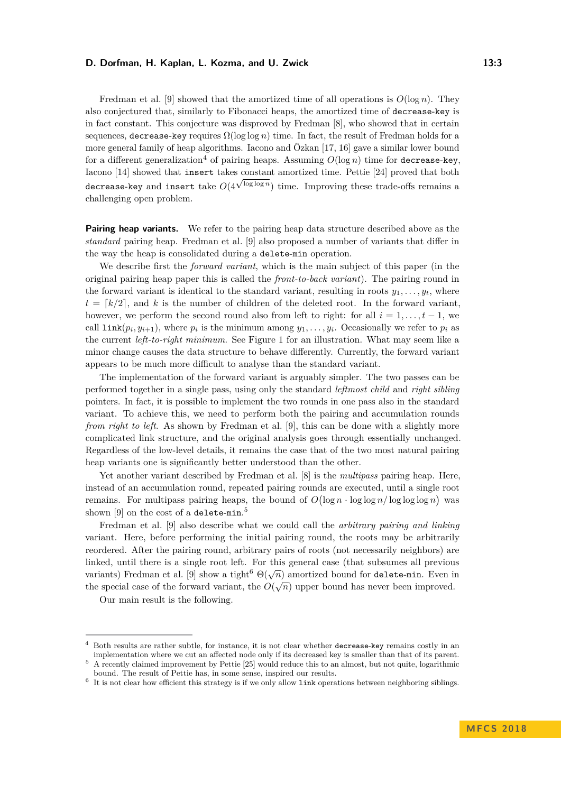Fredman et al. [\[9\]](#page-12-1) showed that the amortized time of all operations is  $O(\log n)$ . They also conjectured that, similarly to Fibonacci heaps, the amortized time of decrease-key is in fact constant. This conjecture was disproved by Fredman [\[8\]](#page-12-3), who showed that in certain sequences, decrease-key requires  $\Omega(\log \log n)$  time. In fact, the result of Fredman holds for a more general family of heap algorithms. Iacono and Özkan [\[17,](#page-13-7) [16\]](#page-13-12) gave a similar lower bound for a different generalization<sup>[4](#page-2-0)</sup> of pairing heaps. Assuming  $O(\log n)$  time for decrease-key, Iacono [\[14\]](#page-13-5) showed that insert takes constant amortized time. Pettie [\[24\]](#page-13-6) proved that both √ decrease-key and insert take  $O(4^{\sqrt{\log \log n}})$  time. Improving these trade-offs remains a challenging open problem.

**Pairing heap variants.** We refer to the pairing heap data structure described above as the *standard* pairing heap. Fredman et al. [\[9\]](#page-12-1) also proposed a number of variants that differ in the way the heap is consolidated during a delete-min operation.

We describe first the *forward variant*, which is the main subject of this paper (in the original pairing heap paper this is called the *front-to-back variant*). The pairing round in the forward variant is identical to the standard variant, resulting in roots  $y_1, \ldots, y_t$ , where  $t = \lfloor k/2 \rfloor$ , and *k* is the number of children of the deleted root. In the forward variant, however, we perform the second round also from left to right: for all  $i = 1, \ldots, t - 1$ , we call  $\text{link}(p_i, y_{i+1})$ , where  $p_i$  is the minimum among  $y_1, \ldots, y_i$ . Occasionally we refer to  $p_i$  as the current *left-to-right minimum*. See Figure [1](#page-4-0) for an illustration. What may seem like a minor change causes the data structure to behave differently. Currently, the forward variant appears to be much more difficult to analyse than the standard variant.

The implementation of the forward variant is arguably simpler. The two passes can be performed together in a single pass, using only the standard *leftmost child* and *right sibling* pointers. In fact, it is possible to implement the two rounds in one pass also in the standard variant. To achieve this, we need to perform both the pairing and accumulation rounds *from right to left*. As shown by Fredman et al. [\[9\]](#page-12-1), this can be done with a slightly more complicated link structure, and the original analysis goes through essentially unchanged. Regardless of the low-level details, it remains the case that of the two most natural pairing heap variants one is significantly better understood than the other.

Yet another variant described by Fredman et al. [\[8\]](#page-12-3) is the *multipass* pairing heap. Here, instead of an accumulation round, repeated pairing rounds are executed, until a single root remains. For multipass pairing heaps, the bound of  $O(\log n \cdot \log \log n / \log \log \log n)$  was shown  $[9]$  on the cost of a <code>delete-min. $^5$  $^5$ </code>

Fredman et al. [\[9\]](#page-12-1) also describe what we could call the *arbitrary pairing and linking* variant. Here, before performing the initial pairing round, the roots may be arbitrarily reordered. After the pairing round, arbitrary pairs of roots (not necessarily neighbors) are linked, until there is a single root left. For this general case (that subsumes all previous variants) Fredman et al. [\[9\]](#page-12-1) show a tight<sup>[6](#page-2-2)</sup>  $\Theta(\sqrt{n})$  amortized bound for delete-min. Even in the special case of the forward variant, the  $O(\sqrt{n})$  upper bound has never been improved.

Our main result is the following.

<span id="page-2-0"></span><sup>4</sup> Both results are rather subtle, for instance, it is not clear whether decrease-key remains costly in an implementation where we cut an affected node only if its decreased key is smaller than that of its parent.

<span id="page-2-1"></span><sup>5</sup> A recently claimed improvement by Pettie [\[25\]](#page-13-13) would reduce this to an almost, but not quite, logarithmic bound. The result of Pettie has, in some sense, inspired our results.

<span id="page-2-2"></span><sup>6</sup> It is not clear how efficient this strategy is if we only allow link operations between neighboring siblings.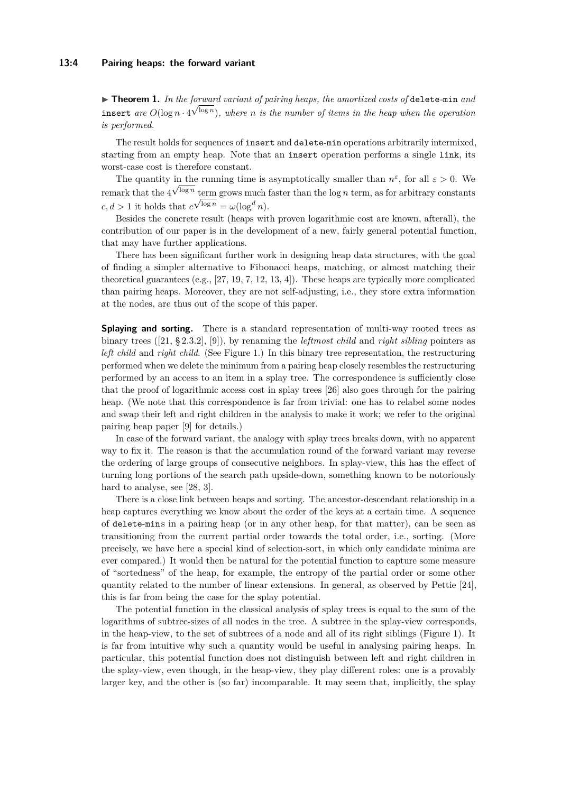<span id="page-3-0"></span>▶ Theorem 1. In the forward variant of pairing heaps, the amortized costs of delete-min and insert are  $O(\log n \cdot 4^{\sqrt{\log n}})$ , where *n* is the number of items in the heap when the operation *is performed.*

The result holds for sequences of insert and delete-min operations arbitrarily intermixed. starting from an empty heap. Note that an insert operation performs a single link, its worst-case cost is therefore constant.

The quantity in the running time is asymptotically smaller than  $n^{\varepsilon}$ , for all  $\varepsilon > 0$ . We remark that the  $4^{\sqrt{\log n}}$  term grows much faster than the  $\log n$  term, as for arbitrary constants  $c, d > 1$  it holds that  $c^{\sqrt{\log n}} = \omega(\log^d n)$ .

Besides the concrete result (heaps with proven logarithmic cost are known, afterall), the contribution of our paper is in the development of a new, fairly general potential function, that may have further applications.

There has been significant further work in designing heap data structures, with the goal of finding a simpler alternative to Fibonacci heaps, matching, or almost matching their theoretical guarantees (e.g., [\[27,](#page-13-1) [19,](#page-13-14) [7,](#page-12-8) [12,](#page-12-9) [13,](#page-12-10) [4\]](#page-12-11)). These heaps are typically more complicated than pairing heaps. Moreover, they are not self-adjusting, i.e., they store extra information at the nodes, are thus out of the scope of this paper.

**Splaying and sorting.** There is a standard representation of multi-way rooted trees as binary trees ([\[21,](#page-13-15) § 2.3.2], [\[9\]](#page-12-1)), by renaming the *leftmost child* and *right sibling* pointers as *left child* and *right child*. (See Figure [1.](#page-4-0)) In this binary tree representation, the restructuring performed when we delete the minimum from a pairing heap closely resembles the restructuring performed by an access to an item in a splay tree. The correspondence is sufficiently close that the proof of logarithmic access cost in splay trees [\[26\]](#page-13-10) also goes through for the pairing heap. (We note that this correspondence is far from trivial: one has to relabel some nodes and swap their left and right children in the analysis to make it work; we refer to the original pairing heap paper [\[9\]](#page-12-1) for details.)

In case of the forward variant, the analogy with splay trees breaks down, with no apparent way to fix it. The reason is that the accumulation round of the forward variant may reverse the ordering of large groups of consecutive neighbors. In splay-view, this has the effect of turning long portions of the search path upside-down, something known to be notoriously hard to analyse, see [\[28,](#page-13-16) [3\]](#page-12-12).

There is a close link between heaps and sorting. The ancestor-descendant relationship in a heap captures everything we know about the order of the keys at a certain time. A sequence of delete-mins in a pairing heap (or in any other heap, for that matter), can be seen as transitioning from the current partial order towards the total order, i.e., sorting. (More precisely, we have here a special kind of selection-sort, in which only candidate minima are ever compared.) It would then be natural for the potential function to capture some measure of "sortedness" of the heap, for example, the entropy of the partial order or some other quantity related to the number of linear extensions. In general, as observed by Pettie [\[24\]](#page-13-6), this is far from being the case for the splay potential.

The potential function in the classical analysis of splay trees is equal to the sum of the logarithms of subtree-sizes of all nodes in the tree. A subtree in the splay-view corresponds, in the heap-view, to the set of subtrees of a node and all of its right siblings (Figure [1\)](#page-4-0). It is far from intuitive why such a quantity would be useful in analysing pairing heaps. In particular, this potential function does not distinguish between left and right children in the splay-view, even though, in the heap-view, they play different roles: one is a provably larger key, and the other is (so far) incomparable. It may seem that, implicitly, the splay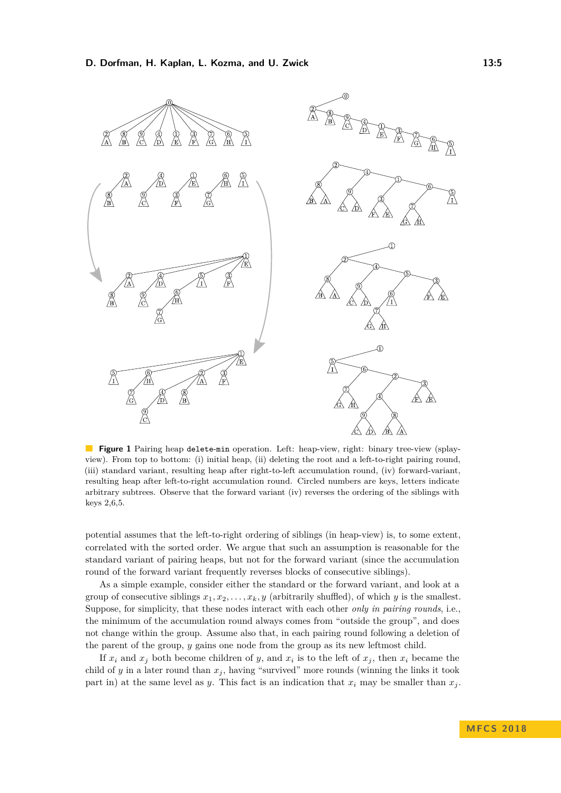<span id="page-4-0"></span>

**Figure 1** Pairing heap delete-min operation. Left: heap-view, right: binary tree-view (splayview). From top to bottom: (i) initial heap, (ii) deleting the root and a left-to-right pairing round, (iii) standard variant, resulting heap after right-to-left accumulation round, (iv) forward-variant, resulting heap after left-to-right accumulation round. Circled numbers are keys, letters indicate arbitrary subtrees. Observe that the forward variant (iv) reverses the ordering of the siblings with keys 2,6,5.

potential assumes that the left-to-right ordering of siblings (in heap-view) is, to some extent, correlated with the sorted order. We argue that such an assumption is reasonable for the standard variant of pairing heaps, but not for the forward variant (since the accumulation round of the forward variant frequently reverses blocks of consecutive siblings).

As a simple example, consider either the standard or the forward variant, and look at a group of consecutive siblings  $x_1, x_2, \ldots, x_k, y$  (arbitrarily shuffled), of which *y* is the smallest. Suppose, for simplicity, that these nodes interact with each other *only in pairing rounds*, i.e., the minimum of the accumulation round always comes from "outside the group", and does not change within the group. Assume also that, in each pairing round following a deletion of the parent of the group, *y* gains one node from the group as its new leftmost child.

If  $x_i$  and  $x_j$  both become children of *y*, and  $x_i$  is to the left of  $x_j$ , then  $x_i$  became the child of  $y$  in a later round than  $x_j$ , having "survived" more rounds (winning the links it took part in) at the same level as *y*. This fact is an indication that  $x_i$  may be smaller than  $x_j$ .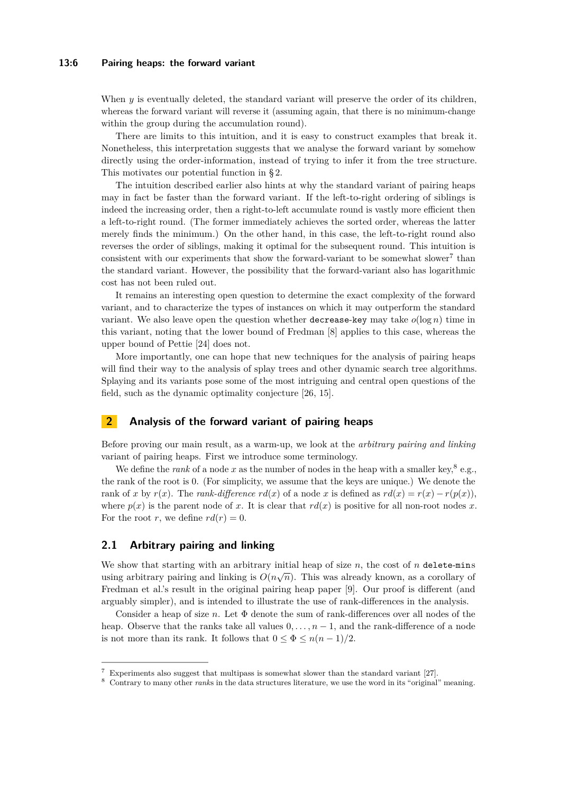#### **13:6 Pairing heaps: the forward variant**

When  $y$  is eventually deleted, the standard variant will preserve the order of its children, whereas the forward variant will reverse it (assuming again, that there is no minimum-change within the group during the accumulation round).

There are limits to this intuition, and it is easy to construct examples that break it. Nonetheless, this interpretation suggests that we analyse the forward variant by somehow directly using the order-information, instead of trying to infer it from the tree structure. This motivates our potential function in § [2.](#page-5-0)

The intuition described earlier also hints at why the standard variant of pairing heaps may in fact be faster than the forward variant. If the left-to-right ordering of siblings is indeed the increasing order, then a right-to-left accumulate round is vastly more efficient then a left-to-right round. (The former immediately achieves the sorted order, whereas the latter merely finds the minimum.) On the other hand, in this case, the left-to-right round also reverses the order of siblings, making it optimal for the subsequent round. This intuition is consistent with our experiments that show the forward-variant to be somewhat slower<sup>[7](#page-5-1)</sup> than the standard variant. However, the possibility that the forward-variant also has logarithmic cost has not been ruled out.

It remains an interesting open question to determine the exact complexity of the forward variant, and to characterize the types of instances on which it may outperform the standard variant. We also leave open the question whether decrease-key may take  $o(\log n)$  time in this variant, noting that the lower bound of Fredman [\[8\]](#page-12-3) applies to this case, whereas the upper bound of Pettie [\[24\]](#page-13-6) does not.

More importantly, one can hope that new techniques for the analysis of pairing heaps will find their way to the analysis of splay trees and other dynamic search tree algorithms. Splaying and its variants pose some of the most intriguing and central open questions of the field, such as the dynamic optimality conjecture [\[26,](#page-13-10) [15\]](#page-13-11).

# <span id="page-5-0"></span>**2 Analysis of the forward variant of pairing heaps**

Before proving our main result, as a warm-up, we look at the *arbitrary pairing and linking* variant of pairing heaps. First we introduce some terminology.

We define the *rank* of a node x as the number of nodes in the heap with a smaller key,<sup>[8](#page-5-2)</sup> e.g., the rank of the root is 0. (For simplicity, we assume that the keys are unique.) We denote the rank of *x* by  $r(x)$ . The *rank-difference*  $rd(x)$  of a node *x* is defined as  $rd(x) = r(x) - r(p(x))$ , where  $p(x)$  is the parent node of x. It is clear that  $rd(x)$  is positive for all non-root nodes x. For the root *r*, we define  $rd(r) = 0$ .

## <span id="page-5-3"></span>**2.1 Arbitrary pairing and linking**

We show that starting with an arbitrary initial heap of size  $n$ , the cost of  $n$  delete-mins we show that starting with an arbitrary initial heap or size *n*, the cost or *n* derece-mins using arbitrary pairing and linking is  $O(n\sqrt{n})$ . This was already known, as a corollary of Fredman et al.'s result in the original pairing heap paper [\[9\]](#page-12-1). Our proof is different (and arguably simpler), and is intended to illustrate the use of rank-differences in the analysis.

Consider a heap of size *n*. Let Φ denote the sum of rank-differences over all nodes of the heap. Observe that the ranks take all values  $0, \ldots, n-1$ , and the rank-difference of a node is not more than its rank. It follows that  $0 \le \Phi \le n(n-1)/2$ .

<span id="page-5-1"></span><sup>7</sup> Experiments also suggest that multipass is somewhat slower than the standard variant [\[27\]](#page-13-1).

<span id="page-5-2"></span><sup>8</sup> Contrary to many other *rank*s in the data structures literature, we use the word in its "original" meaning.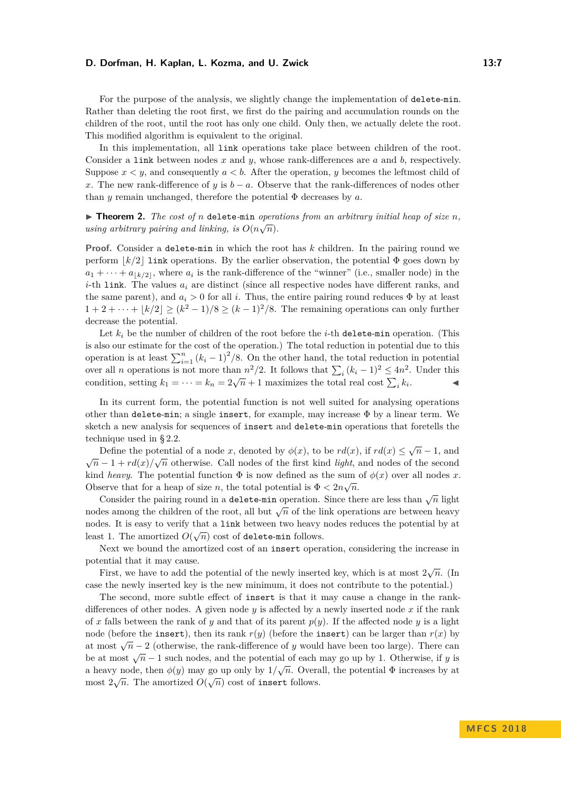For the purpose of the analysis, we slightly change the implementation of delete-min. Rather than deleting the root first, we first do the pairing and accumulation rounds on the children of the root, until the root has only one child. Only then, we actually delete the root. This modified algorithm is equivalent to the original.

In this implementation, all link operations take place between children of the root. Consider a link between nodes *x* and *y*, whose rank-differences are *a* and *b*, respectively. Suppose  $x \leq y$ , and consequently  $a \leq b$ . After the operation, *y* becomes the leftmost child of *x*. The new rank-difference of *y* is  $b - a$ . Observe that the rank-differences of nodes other than *y* remain unchanged, therefore the potential  $\Phi$  decreases by *a*.

▶ **Theorem 2.** *The cost of n* delete-min *operations from an arbitrary initial heap of size n*, *using arbitrary pairing and linking, is*  $O(n\sqrt{n})$ *.* 

**Proof.** Consider a delete-min in which the root has *k* children. In the pairing round we perform  $k/2$  link operations. By the earlier observation, the potential  $\Phi$  goes down by  $a_1 + \cdots + a_{\lfloor k/2 \rfloor}$ , where  $a_i$  is the rank-difference of the "winner" (i.e., smaller node) in the *i*-th link. The values *a<sup>i</sup>* are distinct (since all respective nodes have different ranks, and the same parent), and  $a_i > 0$  for all *i*. Thus, the entire pairing round reduces  $\Phi$  by at least  $1 + 2 + \cdots + \lfloor k/2 \rfloor \geq (k^2 - 1)/8 \geq (k - 1)^2/8$ . The remaining operations can only further decrease the potential.

Let  $k_i$  be the number of children of the root before the *i*-th delete-min operation. (This is also our estimate for the cost of the operation.) The total reduction in potential due to this operation is at least  $\sum_{i=1}^{n} (k_i - 1)^2 / 8$ . On the other hand, the total reduction in potential over all *n* operations is not more than  $n^2/2$ . It follows that  $\sum_i (k_i - 1)^2 \le 4n^2$ . Under this condition, setting  $k_1 = \cdots = k_n = 2\sqrt{n} + 1$  maximizes the total real cost  $\sum_i k_i$  $\mathcal{L}$   $\mathcal{L}$ 

In its current form, the potential function is not well suited for analysing operations other than delete-min; a single insert, for example, may increase  $\Phi$  by a linear term. We sketch a new analysis for sequences of insert and delete-min operations that foretells the technique used in § [2.2.](#page-7-0)

Define the potential of a node *x*, denoted by  $\phi(x)$ , to be  $rd(x)$ , if  $rd(x) \leq \sqrt{n-1}$ , and Define the potential of a hode x, denoted by  $\varphi(x)$ , to be  $\tau u(x)$ , if  $\tau u(x) \le \sqrt{n-1}$ , and  $\sqrt{n-1} + r d(x)/\sqrt{n}$  otherwise. Call nodes of the first kind *light*, and nodes of the second kind *heavy*. The potential function  $\Phi$  is now defined as the sum of  $\phi(x)$  over all nodes *x*. Observe that for a heap of size *n*, the total potential is  $\Phi < 2n\sqrt{n}$ .

Consider the pairing round in a **delete-min** operation. Since there are less than  $\sqrt{n}$  light consider the pairing round in a detect-linit operation. Since there are less than  $\sqrt{n}$  light nodes among the children of the root, all but  $\sqrt{n}$  of the link operations are between heavy nodes. It is easy to verify that a link between two heavy nodes reduces the potential by at least 1. The amortized  $O(\sqrt{n})$  cost of delete-min follows.

Next we bound the amortized cost of an insert operation, considering the increase in potential that it may cause.

First, we have to add the potential of the newly inserted key, which is at most  $2\sqrt{n}$ . (In case the newly inserted key is the new minimum, it does not contribute to the potential.)

The second, more subtle effect of insert is that it may cause a change in the rankdifferences of other nodes. A given node  $y$  is affected by a newly inserted node  $x$  if the rank of x falls between the rank of y and that of its parent  $p(y)$ . If the affected node y is a light node (before the insert), then its rank  $r(y)$  (before the insert) can be larger than  $r(x)$  by at most  $\sqrt{n} - 2$  (otherwise, the rank-difference of *y* would have been too large). There can be at most  $\sqrt{n} - 1$  such nodes, and the potential of each may go up by 1. Otherwise, if *y* is a heavy node, then  $\phi(y)$  may go up only by  $1/\sqrt{n}$ . Overall, the potential  $\Phi$  increases by at most  $2\sqrt{n}$ . The amortized  $O(\sqrt{n})$  cost of insert follows.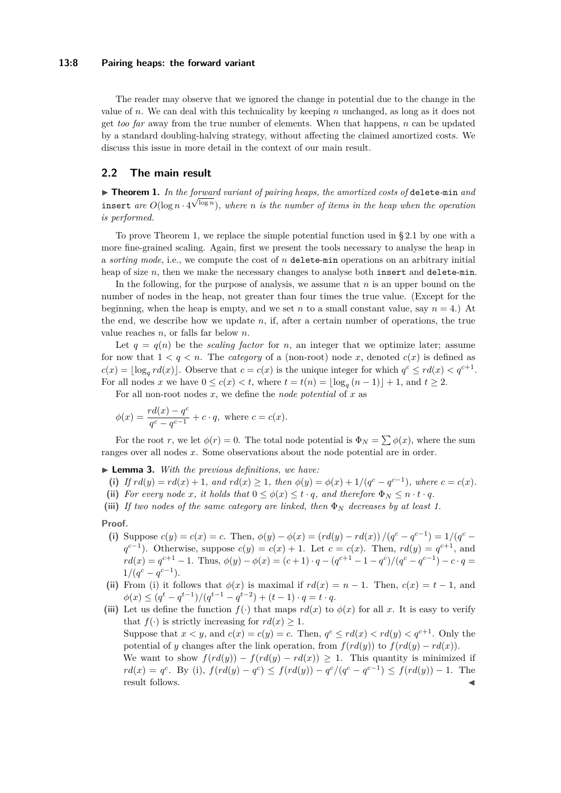#### **13:8 Pairing heaps: the forward variant**

The reader may observe that we ignored the change in potential due to the change in the value of *n*. We can deal with this technicality by keeping *n* unchanged, as long as it does not get *too far* away from the true number of elements. When that happens, *n* can be updated by a standard doubling-halving strategy, without affecting the claimed amortized costs. We discuss this issue in more detail in the context of our main result.

## <span id="page-7-0"></span>**2.2 The main result**

▶ Theorem 1. In the forward variant of pairing heaps, the amortized costs of delete-min and insert are  $O(\log n \cdot 4^{\sqrt{\log n}})$ , where *n* is the number of items in the heap when the operation *is performed.*

To prove Theorem [1,](#page-3-0) we replace the simple potential function used in § [2.1](#page-5-3) by one with a more fine-grained scaling. Again, first we present the tools necessary to analyse the heap in a *sorting mode*, i.e., we compute the cost of *n* delete-min operations on an arbitrary initial heap of size *n*, then we make the necessary changes to analyse both insert and delete-min.

In the following, for the purpose of analysis, we assume that *n* is an upper bound on the number of nodes in the heap, not greater than four times the true value. (Except for the beginning, when the heap is empty, and we set *n* to a small constant value, say  $n = 4$ .) At the end, we describe how we update *n*, if, after a certain number of operations, the true value reaches *n*, or falls far below *n*.

Let  $q = q(n)$  be the *scaling factor* for *n*, an integer that we optimize later; assume for now that  $1 < q < n$ . The *category* of a (non-root) node *x*, denoted  $c(x)$  is defined as  $c(x) = \lfloor \log_q r d(x) \rfloor$ . Observe that  $c = c(x)$  is the unique integer for which  $q^c \leq r d(x) < q^{c+1}$ . For all nodes *x* we have  $0 \leq c(x) < t$ , where  $t = t(n) = \lfloor \log_q(n-1) \rfloor + 1$ , and  $t \geq 2$ .

For all non-root nodes *x*, we define the *node potential* of *x* as

$$
\phi(x) = \frac{rd(x) - q^c}{q^c - q^{c-1}} + c \cdot q
$$
, where  $c = c(x)$ .

For the root *r*, we let  $\phi(r) = 0$ . The total node potential is  $\Phi_N = \sum \phi(x)$ , where the sum ranges over all nodes *x*. Some observations about the node potential are in order.

<span id="page-7-1"></span>I **Lemma 3.** *With the previous definitions, we have:*

- (i) If  $rd(y) = rd(x) + 1$ , and  $rd(x) \ge 1$ , then  $\phi(y) = \phi(x) + 1/(q^c q^{c-1})$ , where  $c = c(x)$ .
- (ii) For every node *x*, it holds that  $0 \leq \phi(x) \leq t \cdot q$ , and therefore  $\Phi_N \leq n \cdot t \cdot q$ .
- **(iii)** *If two nodes of the same category are linked, then* Φ*<sup>N</sup> decreases by at least 1.*

#### **Proof.**

- (i) Suppose  $c(y) = c(x) = c$ . Then,  $\phi(y) \phi(x) = (rd(y) rd(x))/(q^c q^{c-1}) = 1/(q^c q^c)$  $q^{c-1}$ ). Otherwise, suppose  $c(y) = c(x) + 1$ . Let  $c = c(x)$ . Then,  $rd(y) = q^{c+1}$ , and  $rd(x) = q^{c+1} - 1$ . Thus,  $\phi(y) - \phi(x) = (c+1) \cdot q - (q^{c+1} - 1 - q^c)/(q^c - q^{c-1}) - c \cdot q =$  $1/(q^c - q^{c-1}).$
- (ii) From (i) it follows that  $\phi(x)$  is maximal if  $rd(x) = n 1$ . Then,  $c(x) = t 1$ , and  $\phi(x) \leq (q^t - q^{t-1})/(q^{t-1} - q^{t-2}) + (t-1) \cdot q = t \cdot q.$
- (iii) Let us define the function  $f(.)$  that maps  $r d(x)$  to  $\phi(x)$  for all x. It is easy to verify that  $f(\cdot)$  is strictly increasing for  $rd(x) \geq 1$ . Suppose that  $x < y$ , and  $c(x) = c(y) = c$ . Then,  $q^c \leq rd(x) < rd(y) < q^{c+1}$ . Only the potential of *y* changes after the link operation, from  $f(rd(y))$  to  $f(rd(y) - rd(x))$ . We want to show  $f(rd(y)) - f(rd(y) - rd(x)) \geq 1$ . This quantity is minimized if  $rd(x) = q^c$ . By (i),  $f(rd(y) - q^c) \leq f(rd(y)) - q^c/(q^c - q^{c-1}) \leq f(rd(y)) - 1$ . The result follows.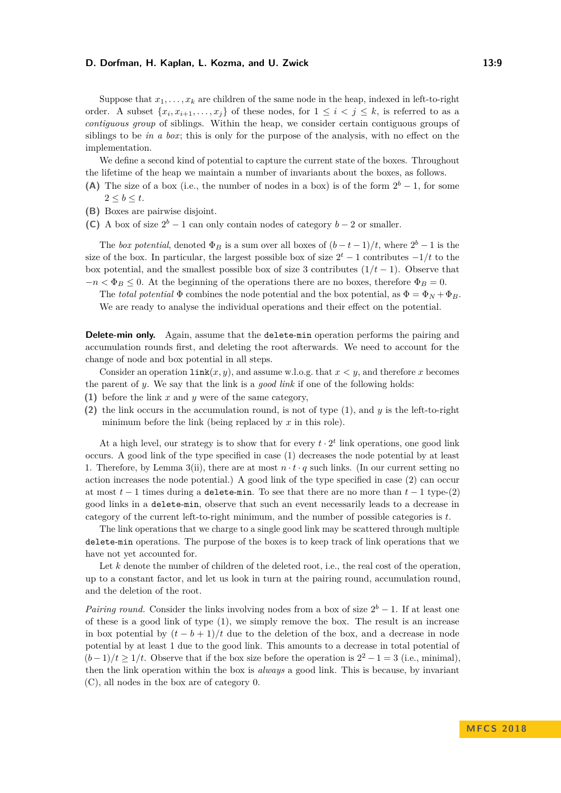Suppose that  $x_1, \ldots, x_k$  are children of the same node in the heap, indexed in left-to-right order. A subset  $\{x_i, x_{i+1}, \ldots, x_j\}$  of these nodes, for  $1 \leq i \leq j \leq k$ , is referred to as a *contiguous group* of siblings. Within the heap, we consider certain contiguous groups of siblings to be *in a box*; this is only for the purpose of the analysis, with no effect on the implementation.

We define a second kind of potential to capture the current state of the boxes. Throughout the lifetime of the heap we maintain a number of invariants about the boxes, as follows.

- **(A)** The size of a box (i.e., the number of nodes in a box) is of the form  $2^b 1$ , for some  $2 \leq b \leq t$ .
- **(B)** Boxes are pairwise disjoint.
- **(C)** A box of size  $2^b 1$  can only contain nodes of category  $b 2$  or smaller.

The *box potential*, denoted  $\Phi_B$  is a sum over all boxes of  $(b-t-1)/t$ , where  $2^b-1$  is the size of the box. In particular, the largest possible box of size  $2^t - 1$  contributes  $-1/t$  to the box potential, and the smallest possible box of size 3 contributes  $(1/t - 1)$ . Observe that  $-n < \Phi_B \leq 0$ . At the beginning of the operations there are no boxes, therefore  $\Phi_B = 0$ .

The *total potential*  $\Phi$  combines the node potential and the box potential, as  $\Phi = \Phi_N + \Phi_B$ . We are ready to analyse the individual operations and their effect on the potential.

**Delete-min only.** Again, assume that the delete-min operation performs the pairing and accumulation rounds first, and deleting the root afterwards. We need to account for the change of node and box potential in all steps.

Consider an operation  $\text{link}(x, y)$ , and assume w.l.o.g. that  $x < y$ , and therefore *x* becomes the parent of *y*. We say that the link is a *good link* if one of the following holds:

- **(1)** before the link *x* and *y* were of the same category,
- **(2)** the link occurs in the accumulation round, is not of type (1), and *y* is the left-to-right minimum before the link (being replaced by *x* in this role).

At a high level, our strategy is to show that for every  $t \cdot 2^t$  link operations, one good link occurs. A good link of the type specified in case (1) decreases the node potential by at least 1. Therefore, by Lemma [3\(](#page-7-1)ii), there are at most  $n \cdot t \cdot q$  such links. (In our current setting no action increases the node potential.) A good link of the type specified in case (2) can occur at most  $t-1$  times during a delete-min. To see that there are no more than  $t-1$  type-(2) good links in a delete-min, observe that such an event necessarily leads to a decrease in category of the current left-to-right minimum, and the number of possible categories is *t*.

The link operations that we charge to a single good link may be scattered through multiple delete-min operations. The purpose of the boxes is to keep track of link operations that we have not yet accounted for.

Let *k* denote the number of children of the deleted root, i.e., the real cost of the operation, up to a constant factor, and let us look in turn at the pairing round, accumulation round, and the deletion of the root.

*Pairing round.* Consider the links involving nodes from a box of size  $2^b - 1$ . If at least one of these is a good link of type (1), we simply remove the box. The result is an increase in box potential by  $(t - b + 1)/t$  due to the deletion of the box, and a decrease in node potential by at least 1 due to the good link. This amounts to a decrease in total potential of  $(b-1)/t \geq 1/t$ . Observe that if the box size before the operation is  $2^2 - 1 = 3$  (i.e., minimal), then the link operation within the box is *always* a good link. This is because, by invariant (C), all nodes in the box are of category 0.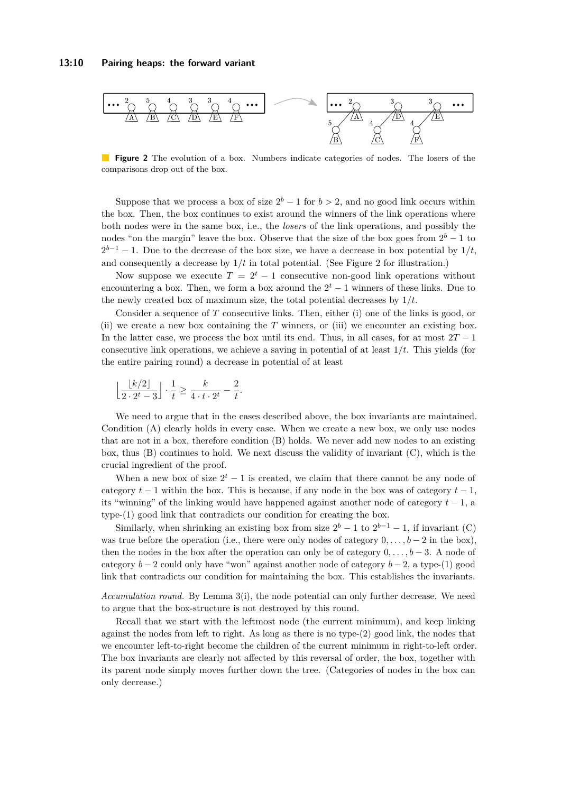<span id="page-9-0"></span>

**Figure 2** The evolution of a box. Numbers indicate categories of nodes. The losers of the comparisons drop out of the box.

Suppose that we process a box of size  $2^b - 1$  for  $b > 2$ , and no good link occurs within the box. Then, the box continues to exist around the winners of the link operations where both nodes were in the same box, i.e., the *losers* of the link operations, and possibly the nodes "on the margin" leave the box. Observe that the size of the box goes from  $2^b - 1$  to  $2^{b-1} - 1$ . Due to the decrease of the box size, we have a decrease in box potential by  $1/t$ , and consequently a decrease by  $1/t$  in total potential. (See Figure [2](#page-9-0) for illustration.)

Now suppose we execute  $T = 2^t - 1$  consecutive non-good link operations without encountering a box. Then, we form a box around the  $2<sup>t</sup> - 1$  winners of these links. Due to the newly created box of maximum size, the total potential decreases by 1*/t*.

Consider a sequence of *T* consecutive links. Then, either (i) one of the links is good, or (ii) we create a new box containing the *T* winners, or (iii) we encounter an existing box. In the latter case, we process the box until its end. Thus, in all cases, for at most  $2T - 1$ consecutive link operations, we achieve a saving in potential of at least 1*/t*. This yields (for the entire pairing round) a decrease in potential of at least

$$
\left\lfloor \frac{k/2}{2 \cdot 2^t - 3} \right\rfloor \cdot \frac{1}{t} \ge \frac{k}{4 \cdot t \cdot 2^t} - \frac{2}{t}.
$$

We need to argue that in the cases described above, the box invariants are maintained. Condition (A) clearly holds in every case. When we create a new box, we only use nodes that are not in a box, therefore condition (B) holds. We never add new nodes to an existing box, thus (B) continues to hold. We next discuss the validity of invariant (C), which is the crucial ingredient of the proof.

When a new box of size  $2^t - 1$  is created, we claim that there cannot be any node of category  $t-1$  within the box. This is because, if any node in the box was of category  $t-1$ , its "winning" of the linking would have happened against another node of category *t* − 1, a type-(1) good link that contradicts our condition for creating the box.

Similarly, when shrinking an existing box from size  $2^b - 1$  to  $2^{b-1} - 1$ , if invariant (C) was true before the operation (i.e., there were only nodes of category  $0, \ldots, b-2$  in the box), then the nodes in the box after the operation can only be of category  $0, \ldots, b-3$ . A node of category *b* − 2 could only have "won" against another node of category *b* − 2, a type-(1) good link that contradicts our condition for maintaining the box. This establishes the invariants.

*Accumulation round.* By Lemma [3\(](#page-7-1)i), the node potential can only further decrease. We need to argue that the box-structure is not destroyed by this round.

Recall that we start with the leftmost node (the current minimum), and keep linking against the nodes from left to right. As long as there is no type-(2) good link, the nodes that we encounter left-to-right become the children of the current minimum in right-to-left order. The box invariants are clearly not affected by this reversal of order, the box, together with its parent node simply moves further down the tree. (Categories of nodes in the box can only decrease.)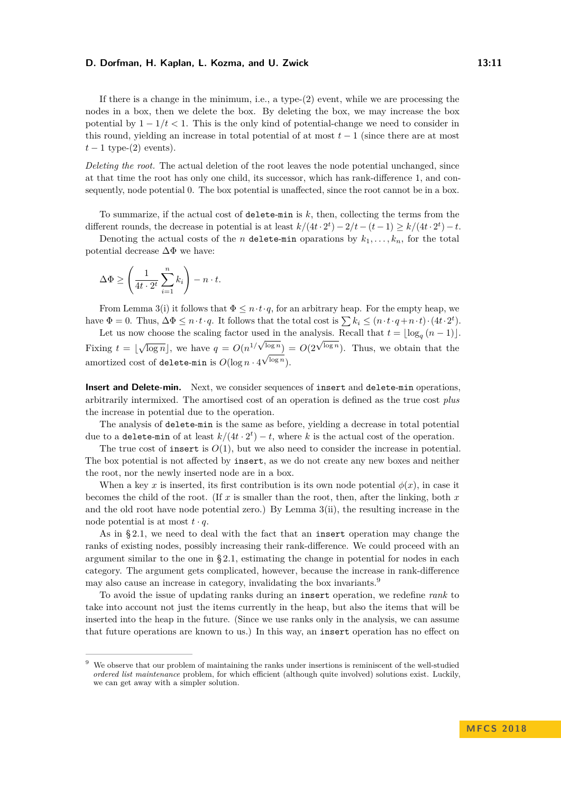If there is a change in the minimum, i.e., a type-(2) event, while we are processing the nodes in a box, then we delete the box. By deleting the box, we may increase the box potential by  $1 - 1/t < 1$ . This is the only kind of potential-change we need to consider in this round, yielding an increase in total potential of at most  $t-1$  (since there are at most  $t-1$  type- $(2)$  events).

*Deleting the root.* The actual deletion of the root leaves the node potential unchanged, since at that time the root has only one child, its successor, which has rank-difference 1, and consequently, node potential 0. The box potential is unaffected, since the root cannot be in a box.

To summarize, if the actual cost of delete-min is  $k$ , then, collecting the terms from the different rounds, the decrease in potential is at least  $k/(4t \cdot 2^t) - 2/t - (t-1) \ge k/(4t \cdot 2^t) - t$ .

Denoting the actual costs of the *n* delete-min oparations by  $k_1, \ldots, k_n$ , for the total potential decrease  $\Delta\Phi$  we have:

$$
\Delta \Phi \ge \left(\frac{1}{4t \cdot 2^t} \sum_{i=1}^n k_i\right) - n \cdot t.
$$

From Lemma [3\(](#page-7-1)i) it follows that  $\Phi \leq n \cdot t \cdot q$ , for an arbitrary heap. For the empty heap, we have  $\Phi = 0$ . Thus,  $\Delta \Phi \leq n \cdot t \cdot q$ . It follows that the total cost is  $\sum k_i \leq (n \cdot t \cdot q + n \cdot t) \cdot (4t \cdot 2^t)$ .

Let us now choose the scaling factor used in the analysis. Recall that  $t = \lfloor \log_q (n-1) \rfloor$ . Fixing  $t = \lfloor \sqrt{\log n} \rfloor$ , we have  $q = O(n^{1/\sqrt{\log n}}) = O(2^{\sqrt{\log n}})$ . Thus, we obtain that the amortized cost of **delete-min** is  $O(\log n \cdot 4^{\sqrt{\log n}})$ .

**Insert and Delete-min.** Next, we consider sequences of insert and delete-min operations, arbitrarily intermixed. The amortised cost of an operation is defined as the true cost *plus* the increase in potential due to the operation.

The analysis of delete-min is the same as before, yielding a decrease in total potential due to a delete-min of at least  $k/(4t \cdot 2^t) - t$ , where k is the actual cost of the operation.

The true cost of insert is  $O(1)$ , but we also need to consider the increase in potential. The box potential is not affected by insert, as we do not create any new boxes and neither the root, nor the newly inserted node are in a box.

When a key *x* is inserted, its first contribution is its own node potential  $\phi(x)$ , in case it becomes the child of the root. (If *x* is smaller than the root, then, after the linking, both *x* and the old root have node potential zero.) By Lemma [3\(](#page-7-1)ii), the resulting increase in the node potential is at most  $t \cdot q$ .

As in § [2.1,](#page-5-3) we need to deal with the fact that an insert operation may change the ranks of existing nodes, possibly increasing their rank-difference. We could proceed with an argument similar to the one in § [2.1,](#page-5-3) estimating the change in potential for nodes in each category. The argument gets complicated, however, because the increase in rank-difference may also cause an increase in category, invalidating the box invariants.<sup>[9](#page-10-0)</sup>

To avoid the issue of updating ranks during an insert operation, we redefine *rank* to take into account not just the items currently in the heap, but also the items that will be inserted into the heap in the future. (Since we use ranks only in the analysis, we can assume that future operations are known to us.) In this way, an insert operation has no effect on

<span id="page-10-0"></span><sup>&</sup>lt;sup>9</sup> We observe that our problem of maintaining the ranks under insertions is reminiscent of the well-studied *ordered list maintenance* problem, for which efficient (although quite involved) solutions exist. Luckily, we can get away with a simpler solution.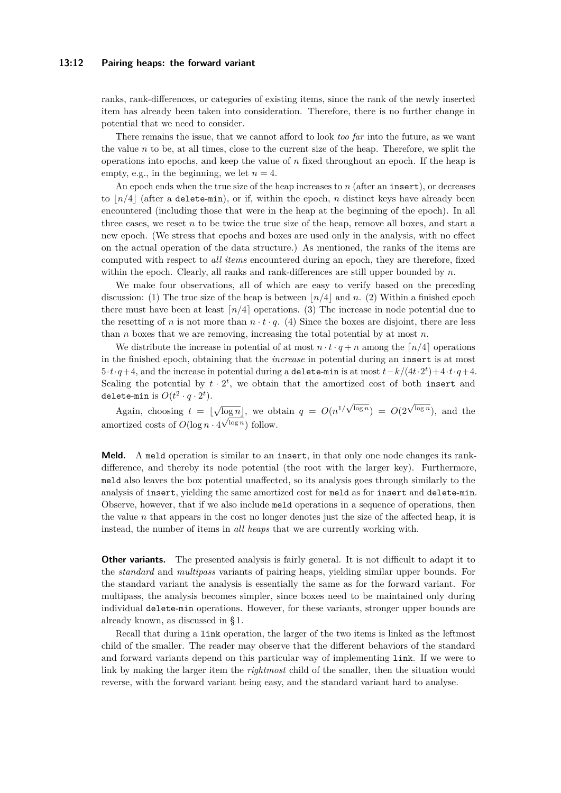#### **13:12 Pairing heaps: the forward variant**

ranks, rank-differences, or categories of existing items, since the rank of the newly inserted item has already been taken into consideration. Therefore, there is no further change in potential that we need to consider.

There remains the issue, that we cannot afford to look *too far* into the future, as we want the value  $n$  to be, at all times, close to the current size of the heap. Therefore, we split the operations into epochs, and keep the value of *n* fixed throughout an epoch. If the heap is empty, e.g., in the beginning, we let  $n = 4$ .

An epoch ends when the true size of the heap increases to *n* (after an insert), or decreases to  $n/4$  (after a delete-min), or if, within the epoch, *n* distinct keys have already been encountered (including those that were in the heap at the beginning of the epoch). In all three cases, we reset *n* to be twice the true size of the heap, remove all boxes, and start a new epoch. (We stress that epochs and boxes are used only in the analysis, with no effect on the actual operation of the data structure.) As mentioned, the ranks of the items are computed with respect to *all items* encountered during an epoch, they are therefore, fixed within the epoch. Clearly, all ranks and rank-differences are still upper bounded by *n*.

We make four observations, all of which are easy to verify based on the preceding discussion: (1) The true size of the heap is between  $\lfloor n/4 \rfloor$  and *n*. (2) Within a finished epoch there must have been at least  $\lceil n/4 \rceil$  operations. (3) The increase in node potential due to the resetting of *n* is not more than  $n \cdot t \cdot q$ . (4) Since the boxes are disjoint, there are less than *n* boxes that we are removing, increasing the total potential by at most *n*.

We distribute the increase in potential of at most  $n \cdot t \cdot q + n$  among the  $\lceil n/4 \rceil$  operations in the finished epoch, obtaining that the *increase* in potential during an insert is at most  $5 \cdot t \cdot q + 4$ , and the increase in potential during a delete-min is at most  $t - k/(4t \cdot 2^t) + 4 \cdot t \cdot q + 4$ . Scaling the potential by  $t \cdot 2^t$ , we obtain that the amortized cost of both insert and delete-min is  $O(t^2 \cdot q \cdot 2^t)$ .

Again, choosing  $t = \lfloor \sqrt{\log n} \rfloor$ , we obtain  $q = O(n^{1/\sqrt{\log n}}) = O(2)$  $\overline{\log n}$ , we obtain  $q = O(n^{1/\sqrt{\log n}}) = O(2^{\sqrt{\log n}})$ , and the amortized costs of  $O(\log n \cdot 4^{\sqrt{\log n}})$  follow.

**Meld.** A meld operation is similar to an insert, in that only one node changes its rankdifference, and thereby its node potential (the root with the larger key). Furthermore, meld also leaves the box potential unaffected, so its analysis goes through similarly to the analysis of insert, yielding the same amortized cost for meld as for insert and delete-min. Observe, however, that if we also include meld operations in a sequence of operations, then the value *n* that appears in the cost no longer denotes just the size of the affected heap, it is instead, the number of items in *all heaps* that we are currently working with.

**Other variants.** The presented analysis is fairly general. It is not difficult to adapt it to the *standard* and *multipass* variants of pairing heaps, yielding similar upper bounds. For the standard variant the analysis is essentially the same as for the forward variant. For multipass, the analysis becomes simpler, since boxes need to be maintained only during individual delete-min operations. However, for these variants, stronger upper bounds are already known, as discussed in § 1.

Recall that during a link operation, the larger of the two items is linked as the leftmost child of the smaller. The reader may observe that the different behaviors of the standard and forward variants depend on this particular way of implementing link. If we were to link by making the larger item the *rightmost* child of the smaller, then the situation would reverse, with the forward variant being easy, and the standard variant hard to analyse.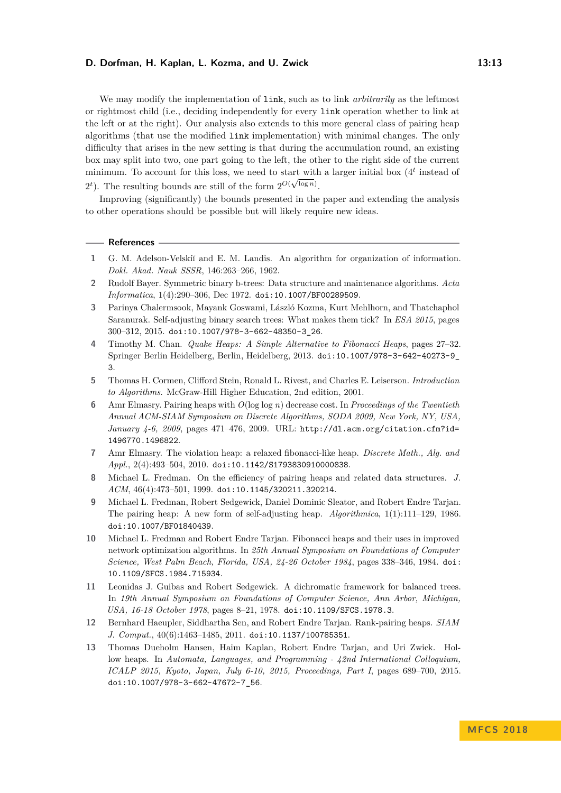We may modify the implementation of link, such as to link *arbitrarily* as the leftmost or rightmost child (i.e., deciding independently for every link operation whether to link at the left or at the right). Our analysis also extends to this more general class of pairing heap algorithms (that use the modified link implementation) with minimal changes. The only difficulty that arises in the new setting is that during the accumulation round, an existing box may split into two, one part going to the left, the other to the right side of the current minimum. To account for this loss, we need to start with a larger initial box  $(4<sup>t</sup>$  instead of  $2^t$ ). The resulting bounds are still of the form  $2^{O(\sqrt{\log n})}$ .

Improving (significantly) the bounds presented in the paper and extending the analysis to other operations should be possible but will likely require new ideas.

#### **References**

- <span id="page-12-5"></span>**1** G. M. Adelson-Velski˘ı and E. M. Landis. An algorithm for organization of information. *Dokl. Akad. Nauk SSSR*, 146:263–266, 1962.
- <span id="page-12-6"></span>**2** Rudolf Bayer. Symmetric binary b-trees: Data structure and maintenance algorithms. *Acta Informatica*, 1(4):290–306, Dec 1972. [doi:10.1007/BF00289509](http://dx.doi.org/10.1007/BF00289509).
- <span id="page-12-12"></span>**3** Parinya Chalermsook, Mayank Goswami, László Kozma, Kurt Mehlhorn, and Thatchaphol Saranurak. Self-adjusting binary search trees: What makes them tick? In *ESA 2015*, pages 300–312, 2015. [doi:10.1007/978-3-662-48350-3\\_26](http://dx.doi.org/10.1007/978-3-662-48350-3_26).
- <span id="page-12-11"></span>**4** Timothy M. Chan. *Quake Heaps: A Simple Alternative to Fibonacci Heaps*, pages 27–32. Springer Berlin Heidelberg, Berlin, Heidelberg, 2013. [doi:10.1007/978-3-642-40273-9\\_](http://dx.doi.org/10.1007/978-3-642-40273-9_3) [3](http://dx.doi.org/10.1007/978-3-642-40273-9_3).
- <span id="page-12-0"></span>**5** Thomas H. Cormen, Clifford Stein, Ronald L. Rivest, and Charles E. Leiserson. *Introduction to Algorithms*. McGraw-Hill Higher Education, 2nd edition, 2001.
- <span id="page-12-4"></span>**6** Amr Elmasry. Pairing heaps with *O*(log log *n*) decrease cost. In *Proceedings of the Twentieth Annual ACM-SIAM Symposium on Discrete Algorithms, SODA 2009, New York, NY, USA, January 4-6, 2009*, pages 471–476, 2009. URL: [http://dl.acm.org/citation.cfm?id=](http://dl.acm.org/citation.cfm?id=1496770.1496822) [1496770.1496822](http://dl.acm.org/citation.cfm?id=1496770.1496822).
- <span id="page-12-8"></span>**7** Amr Elmasry. The violation heap: a relaxed fibonacci-like heap. *Discrete Math., Alg. and Appl.*, 2(4):493–504, 2010. [doi:10.1142/S1793830910000838](http://dx.doi.org/10.1142/S1793830910000838).
- <span id="page-12-3"></span>**8** Michael L. Fredman. On the efficiency of pairing heaps and related data structures. *J. ACM*, 46(4):473–501, 1999. [doi:10.1145/320211.320214](http://dx.doi.org/10.1145/320211.320214).
- <span id="page-12-1"></span>**9** Michael L. Fredman, Robert Sedgewick, Daniel Dominic Sleator, and Robert Endre Tarjan. The pairing heap: A new form of self-adjusting heap. *Algorithmica*, 1(1):111–129, 1986. [doi:10.1007/BF01840439](http://dx.doi.org/10.1007/BF01840439).
- <span id="page-12-2"></span>**10** Michael L. Fredman and Robert Endre Tarjan. Fibonacci heaps and their uses in improved network optimization algorithms. In *25th Annual Symposium on Foundations of Computer Science, West Palm Beach, Florida, USA, 24-26 October 1984*, pages 338–346, 1984. [doi:](http://dx.doi.org/10.1109/SFCS.1984.715934) [10.1109/SFCS.1984.715934](http://dx.doi.org/10.1109/SFCS.1984.715934).
- <span id="page-12-7"></span>**11** Leonidas J. Guibas and Robert Sedgewick. A dichromatic framework for balanced trees. In *19th Annual Symposium on Foundations of Computer Science, Ann Arbor, Michigan, USA, 16-18 October 1978*, pages 8–21, 1978. [doi:10.1109/SFCS.1978.3](http://dx.doi.org/10.1109/SFCS.1978.3).
- <span id="page-12-9"></span>**12** Bernhard Haeupler, Siddhartha Sen, and Robert Endre Tarjan. Rank-pairing heaps. *SIAM J. Comput.*, 40(6):1463–1485, 2011. [doi:10.1137/100785351](http://dx.doi.org/10.1137/100785351).
- <span id="page-12-10"></span>**13** Thomas Dueholm Hansen, Haim Kaplan, Robert Endre Tarjan, and Uri Zwick. Hollow heaps. In *Automata, Languages, and Programming - 42nd International Colloquium, ICALP 2015, Kyoto, Japan, July 6-10, 2015, Proceedings, Part I*, pages 689–700, 2015. [doi:10.1007/978-3-662-47672-7\\_56](http://dx.doi.org/10.1007/978-3-662-47672-7_56).